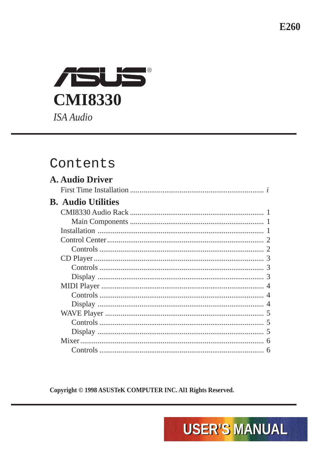E260



#### Contents

Copyright © 1998 ASUSTeK COMPUTER INC. All Rights Reserved.

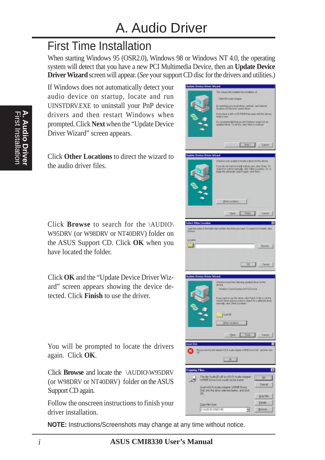## First Time Installation

When starting Windows 95 (OSR2.0), Windows 98 or Windows NT 4.0, the operating system will detect that you have a new PCI Multimedia Device, then an **Update Device Driver Wizard** screen will appear. (*See* your support CD disc for the drivers and utilities.)

If Windows does not automatically detect your audio device on startup, locate and run UINSTDRV.EXE to uninstall your PnP device drivers and then restart Windows when prompted. Click **Next** when the "Update Device Driver Wizard" screen appears.

Click **Other Locations** to direct the wizard to the audio driver files.

Click **Browse** to search for the \AUDIO\ W95DRV (or W98DRV or NT40DRV) folder on the ASUS Support CD. Click **OK** when you have located the folder.

Click **OK** and the "Update Device Driver Wizard" screen appears showing the device detected. Click **Finish** to use the driver.

You will be prompted to locate the drivers again. Click **OK**.

Click **Browse** and locate the \AUDIO\W95DRV (or W98DRV or NT40DRV) folder on the ASUS Support CD again.

Follow the onscreen instructions to finish your driver installation.

**NOTE:** Instructions/Screenshots may change at any time without notice.

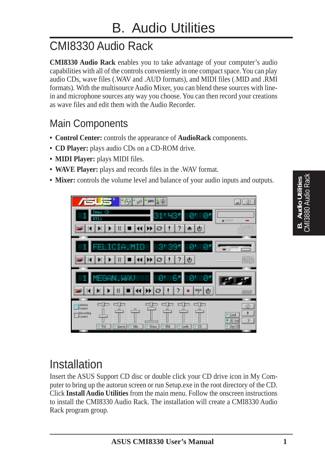# CMI8330 Audio Rack

**CMI8330 Audio Rack** enables you to take advantage of your computer's audio capabilities with all of the controls conveniently in one compact space. You can play audio CDs, wave files (.WAV and .AUD formats), and MIDI files (.MID and .RMI formats). With the multisource Audio Mixer, you can blend these sources with linein and microphone sources any way you choose. You can then record your creations as wave files and edit them with the Audio Recorder.

#### Main Components

- **Control Center:** controls the appearance of **AudioRack** components.
- **CD Player:** plays audio CDs on a CD-ROM drive.
- **MIDI Player:** plays MIDI files.
- **WAVE Player:** plays and records files in the .WAV format.
- **Mixer:** controls the volume level and balance of your audio inputs and outputs.

| Ι<br>奉<br>$ \mu^{\text{th}} $<br>30 E<br>P.                                                        |                                                   |
|----------------------------------------------------------------------------------------------------|---------------------------------------------------|
| vento e l<br>31450<br>8"                                                                           |                                                   |
| $\mathbf{r}$                                                                                       |                                                   |
| EMICIA.MID<br>-34395                                                                               |                                                   |
| Φ<br>?                                                                                             | m                                                 |
| $B^{\prime}$<br>EGAN<br><b>UAU</b><br>6<br>- 81<br>ტ                                               |                                                   |
| /ublame<br><b>Transacting</b><br>Control<br>Vol<br>Marx<br>$2$ lm $\pi$<br>FM<br>Mic<br>Syuth<br>σ | 0<br>Loud<br>2<br>$-30.50$<br><sup>J</sup> Dig-CD |

# **B. Audio Utilities** CMI3880 Audio Rack

### Installation

Insert the ASUS Support CD disc or double click your CD drive icon in My Computer to bring up the autorun screen or run Setup.exe in the root directory of the CD. Click **Install Audio Utilities** from the main menu. Follow the onscreen instructions to install the CMI8330 Audio Rack. The installation will create a CMI8330 Audio Rack program group.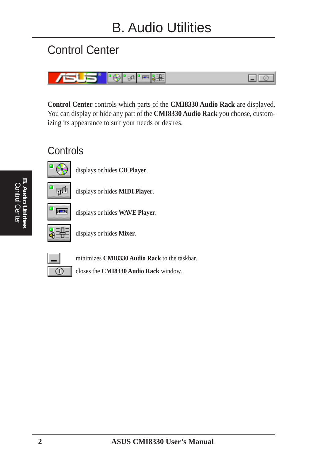## Control Center



**Control Center** controls which parts of the **CMI8330 Audio Rack** are displayed. You can display or hide any part of the **CMI8330 Audio Rack** you choose, customizing its appearance to suit your needs or desires.

#### **Controls**



displays or hides **CD Player**.



displays or hides **MIDI Player**.



displays or hides **WAVE Player**.



displays or hides **Mixer**.

minimizes **CMI8330 Audio Rack** to the taskbar.

closes the **CMI8330 Audio Rack** window.

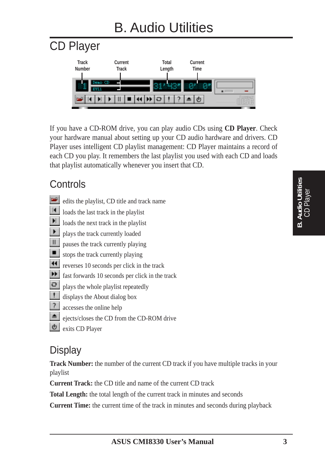# B. Audio Utilities



If you have a CD-ROM drive, you can play audio CDs using **CD Player**. Check your hardware manual about setting up your CD audio hardware and drivers. CD Player uses intelligent CD playlist management: CD Player maintains a record of each CD you play. It remembers the last playlist you used with each CD and loads that playlist automatically whenever you insert that CD.

#### **Controls**

- edits the playlist, CD title and track name
- $\vert A \vert$ loads the last track in the playlist
- $\blacksquare$ loads the next track in the playlist
- $\blacktriangleright$ plays the track currently loaded
- $\parallel \parallel$ pauses the track currently playing
- $\blacksquare$ stops the track currently playing
- reverses 10 seconds per click in the track
- **FF** fast forwards 10 seconds per click in the track
- $\mathbf{C}$ plays the whole playlist repeatedly
- H. displays the About dialog box
- $\mathbb{R}$ accesses the online help
- $\triangleq$ ejects/closes the CD from the CD-ROM drive
- l Ch exits CD Player

#### **Display**

**Track Number:** the number of the current CD track if you have multiple tracks in your playlist

**Current Track:** the CD title and name of the current CD track

**Total Length:** the total length of the current track in minutes and seconds

**Current Time:** the current time of the track in minutes and seconds during playback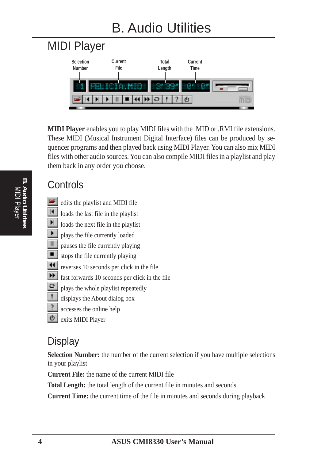# B. Audio Utilities



**MIDI Player** enables you to play MIDI files with the .MID or .RMI file extensions. These MIDI (Musical Instrument Digital Interface) files can be produced by sequencer programs and then played back using MIDI Player. You can also mix MIDI files with other audio sources. You can also compile MIDI files in a playlist and play them back in any order you choose.

#### **Controls**

- **D** edits the playlist and MIDI file
- $\vert \vert$ loads the last file in the playlist
- Ħ loads the next file in the playlist
- Þ. plays the file currently loaded
- Ш pauses the file currently playing
- $\blacksquare$ stops the file currently playing
- $\blacktriangleleft$ reverses 10 seconds per click in the file
- $|\cdot|$ fast forwards 10 seconds per click in the file
- $\Theta$ plays the whole playlist repeatedly
- H. displays the About dialog box
- -2. accesses the online help
	- exits MIDI Player

#### **Display**

**Selection Number:** the number of the current selection if you have multiple selections in your playlist

**Current File:** the name of the current MIDI file

**Total Length:** the total length of the current file in minutes and seconds

**Current Time:** the current time of the file in minutes and seconds during playback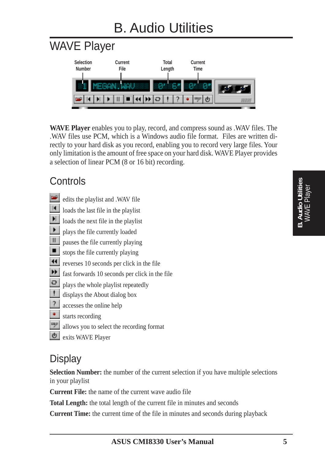# WAVE Player



**WAVE Player** enables you to play, record, and compress sound as .WAV files. The .WAV files use PCM, which is a Windows audio file format. Files are written directly to your hard disk as you record, enabling you to record very large files. Your only limitation is the amount of free space on your hard disk. WAVE Player provides a selection of linear PCM (8 or 16 bit) recording.

#### **Controls**

- edits the playlist and .WAV file
- $\boxed{1}$ loads the last file in the playlist

 $\blacktriangleright$ loads the next file in the playlist

- $\blacktriangleright$ plays the file currently loaded
- $\parallel \parallel$ pauses the file currently playing
- $\blacksquare$ stops the file currently playing
- $\blacktriangleleft$ reverses 10 seconds per click in the file
- $\blacktriangleright\blacktriangleright$ fast forwards 10 seconds per click in the file
- $\mathbf{C}$ plays the whole playlist repeatedly
- U. displays the About dialog box
- $\sqrt{2}$ accesses the online help
- $\langle \bullet \rangle$ starts recording
- $\frac{\log\rho}{\rho}$ allows you to select the recording format
- $| \Phi |$ exits WAVE Player

#### **Display**

**Selection Number:** the number of the current selection if you have multiple selections in your playlist

**Current File:** the name of the current wave audio file

**Total Length:** the total length of the current file in minutes and seconds

**Current Time:** the current time of the file in minutes and seconds during playback